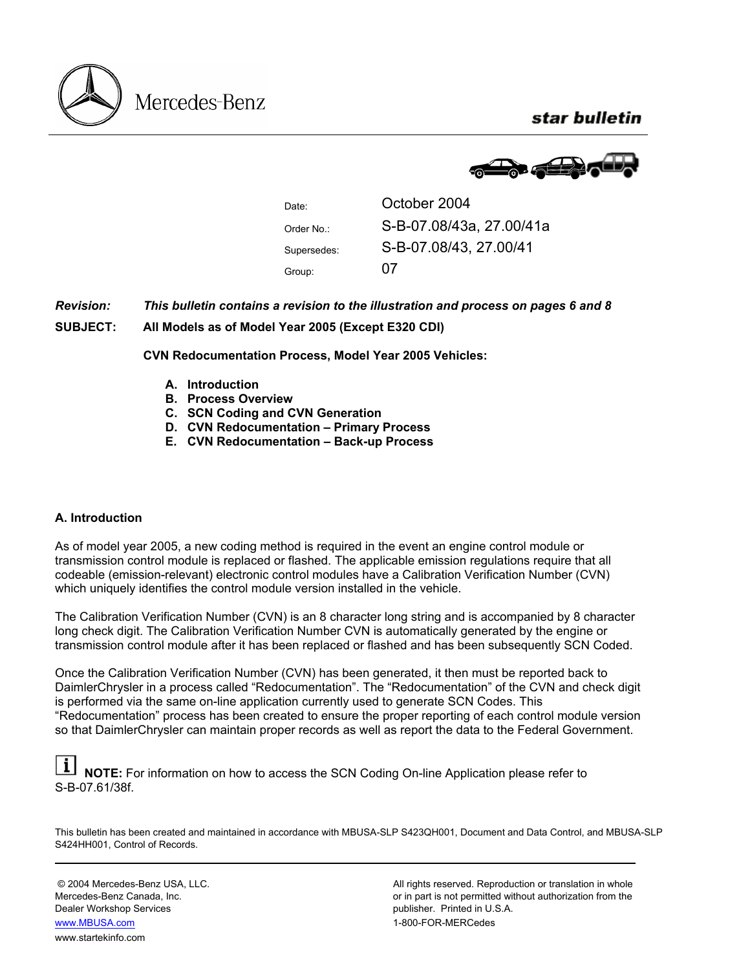star bulletin





Group: 07

Date: **October 2004** Order No.: S-B-07.08/43a, 27.00/41a Supersedes: S-B-07.08/43, 27.00/41

*Revision: This bulletin contains a revision to the illustration and process on pages 6 and 8* 

**SUBJECT: All Models as of Model Year 2005 (Except E320 CDI)** 

**CVN Redocumentation Process, Model Year 2005 Vehicles:** 

- **A. Introduction**
- **B. Process Overview**
- **C. SCN Coding and CVN Generation**
- **D. CVN Redocumentation Primary Process**
- **E. CVN Redocumentation Back-up Process**

## **A. Introduction**

As of model year 2005, a new coding method is required in the event an engine control module or transmission control module is replaced or flashed. The applicable emission regulations require that all codeable (emission-relevant) electronic control modules have a Calibration Verification Number (CVN) which uniquely identifies the control module version installed in the vehicle.

The Calibration Verification Number (CVN) is an 8 character long string and is accompanied by 8 character long check digit. The Calibration Verification Number CVN is automatically generated by the engine or transmission control module after it has been replaced or flashed and has been subsequently SCN Coded.

Once the Calibration Verification Number (CVN) has been generated, it then must be reported back to DaimlerChrysler in a process called "Redocumentation". The "Redocumentation" of the CVN and check digit is performed via the same on-line application currently used to generate SCN Codes. This "Redocumentation" process has been created to ensure the proper reporting of each control module version so that DaimlerChrysler can maintain proper records as well as report the data to the Federal Government.

**NOTE:** For information on how to access the SCN Coding On-line Application please refer to S-B-07.61/38f.

This bulletin has been created and maintained in accordance with MBUSA-SLP S423QH001, Document and Data Control, and MBUSA-SLP S424HH001, Control of Records.

Dealer Workshop Services publisher. Printed in U.S.A. www.MBUSA.com www.startekinfo.com

© 2004 Mercedes-Benz USA, LLC. <br>Mercedes-Benz Canada, Inc. All rights reserved. Reproduction or translation in whole<br>or in part is not permitted without authorization from the or in part is not permitted without authorization from the 1-800-FOR-MERCedes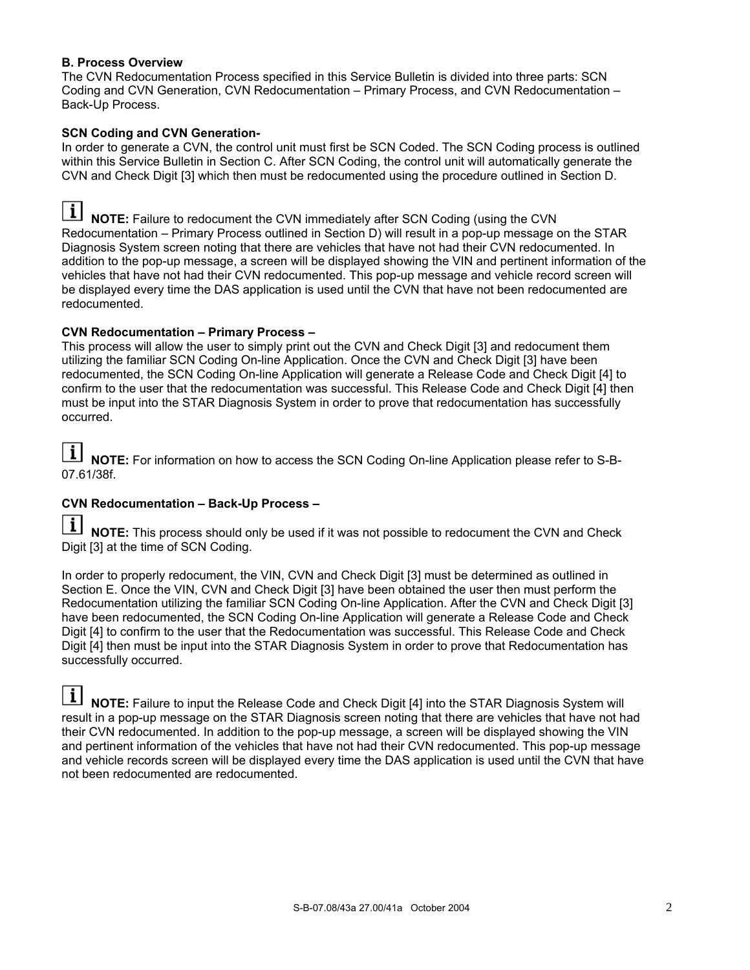## **B. Process Overview**

The CVN Redocumentation Process specified in this Service Bulletin is divided into three parts: SCN Coding and CVN Generation, CVN Redocumentation – Primary Process, and CVN Redocumentation – Back-Up Process.

## **SCN Coding and CVN Generation-**

In order to generate a CVN, the control unit must first be SCN Coded. The SCN Coding process is outlined within this Service Bulletin in Section C. After SCN Coding, the control unit will automatically generate the CVN and Check Digit [3] which then must be redocumented using the procedure outlined in Section D.

**I** NOTE: Failure to redocument the CVN immediately after SCN Coding (using the CVN Redocumentation – Primary Process outlined in Section D) will result in a pop-up message on the STAR Diagnosis System screen noting that there are vehicles that have not had their CVN redocumented. In addition to the pop-up message, a screen will be displayed showing the VIN and pertinent information of the vehicles that have not had their CVN redocumented. This pop-up message and vehicle record screen will be displayed every time the DAS application is used until the CVN that have not been redocumented are redocumented.

### **CVN Redocumentation – Primary Process –**

This process will allow the user to simply print out the CVN and Check Digit [3] and redocument them utilizing the familiar SCN Coding On-line Application. Once the CVN and Check Digit [3] have been redocumented, the SCN Coding On-line Application will generate a Release Code and Check Digit [4] to confirm to the user that the redocumentation was successful. This Release Code and Check Digit [4] then must be input into the STAR Diagnosis System in order to prove that redocumentation has successfully occurred.

**I** NOTE: For information on how to access the SCN Coding On-line Application please refer to S-B-07.61/38f.

## **CVN Redocumentation – Back-Up Process –**

**NOTE:** This process should only be used if it was not possible to redocument the CVN and Check Digit [3] at the time of SCN Coding.

In order to properly redocument, the VIN, CVN and Check Digit [3] must be determined as outlined in Section E. Once the VIN, CVN and Check Digit [3] have been obtained the user then must perform the Redocumentation utilizing the familiar SCN Coding On-line Application. After the CVN and Check Digit [3] have been redocumented, the SCN Coding On-line Application will generate a Release Code and Check Digit [4] to confirm to the user that the Redocumentation was successful. This Release Code and Check Digit [4] then must be input into the STAR Diagnosis System in order to prove that Redocumentation has successfully occurred.

H **NOTE:** Failure to input the Release Code and Check Digit [4] into the STAR Diagnosis System will result in a pop-up message on the STAR Diagnosis screen noting that there are vehicles that have not had their CVN redocumented. In addition to the pop-up message, a screen will be displayed showing the VIN and pertinent information of the vehicles that have not had their CVN redocumented. This pop-up message and vehicle records screen will be displayed every time the DAS application is used until the CVN that have not been redocumented are redocumented.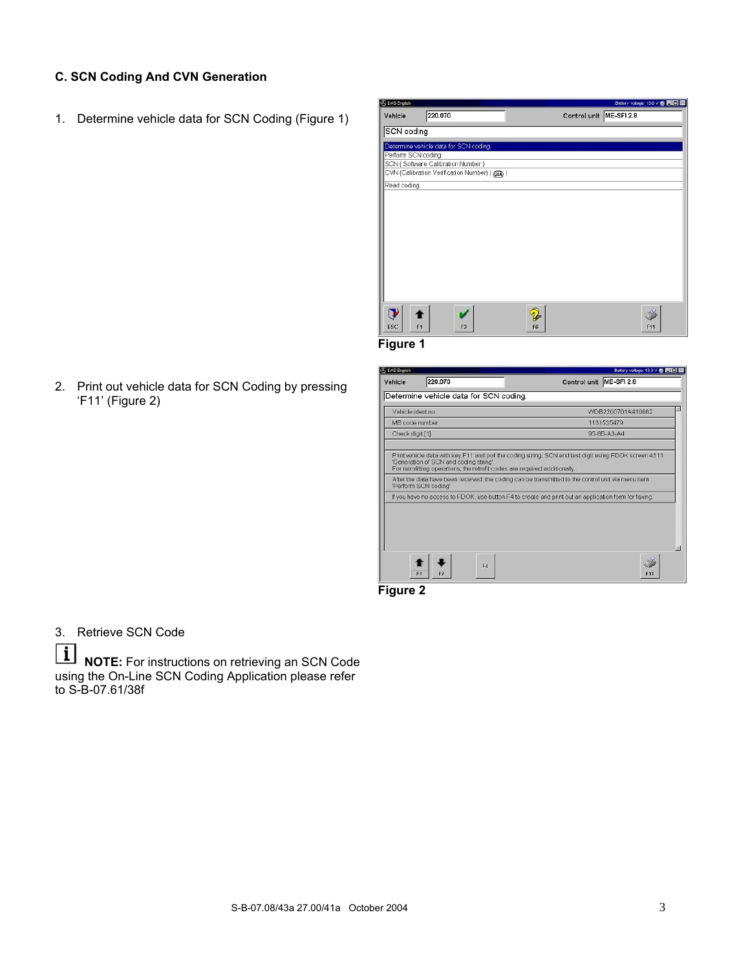# **C. SCN Coding And CVN Generation**

1. Determine vehicle data for SCN Coding (Figure 1)



2. Print out vehicle data for SCN Coding by pressing 'F11' (Figure 2)

| Determine vehicle data for SCN coding.<br>Vehicle ident no<br>WDB2200701A410662<br>MB code number<br>1131535479<br>95-8B-A3-A4<br>Check digit [1]<br>Print vehicle data with key F11 and poll the coding string, SCN and test digit using FDOK screen 4311<br>'Generation of SCN and coding string'.<br>For retrofitting operations, the retrofit codes are required additionally<br>After the data have been received, the coding can be transmitted to the control unit via menu item<br>'Perform SCN coding'.<br>If you have no access to FDOK, use button F4 to create and print out an application form for faxing. | Vehicle | 220.070 | Control unit ME-SFI 2.8 |
|--------------------------------------------------------------------------------------------------------------------------------------------------------------------------------------------------------------------------------------------------------------------------------------------------------------------------------------------------------------------------------------------------------------------------------------------------------------------------------------------------------------------------------------------------------------------------------------------------------------------------|---------|---------|-------------------------|
|                                                                                                                                                                                                                                                                                                                                                                                                                                                                                                                                                                                                                          |         |         |                         |
|                                                                                                                                                                                                                                                                                                                                                                                                                                                                                                                                                                                                                          |         |         |                         |
|                                                                                                                                                                                                                                                                                                                                                                                                                                                                                                                                                                                                                          |         |         |                         |
|                                                                                                                                                                                                                                                                                                                                                                                                                                                                                                                                                                                                                          |         |         |                         |
|                                                                                                                                                                                                                                                                                                                                                                                                                                                                                                                                                                                                                          |         |         |                         |
|                                                                                                                                                                                                                                                                                                                                                                                                                                                                                                                                                                                                                          |         |         |                         |
|                                                                                                                                                                                                                                                                                                                                                                                                                                                                                                                                                                                                                          |         |         |                         |
|                                                                                                                                                                                                                                                                                                                                                                                                                                                                                                                                                                                                                          |         |         |                         |
|                                                                                                                                                                                                                                                                                                                                                                                                                                                                                                                                                                                                                          |         |         |                         |

**Figure 2**

3. Retrieve SCN Code

 $\vert i \vert$ **NOTE:** For instructions on retrieving an SCN Code using the On-Line SCN Coding Application please refer to S-B-07.61/38f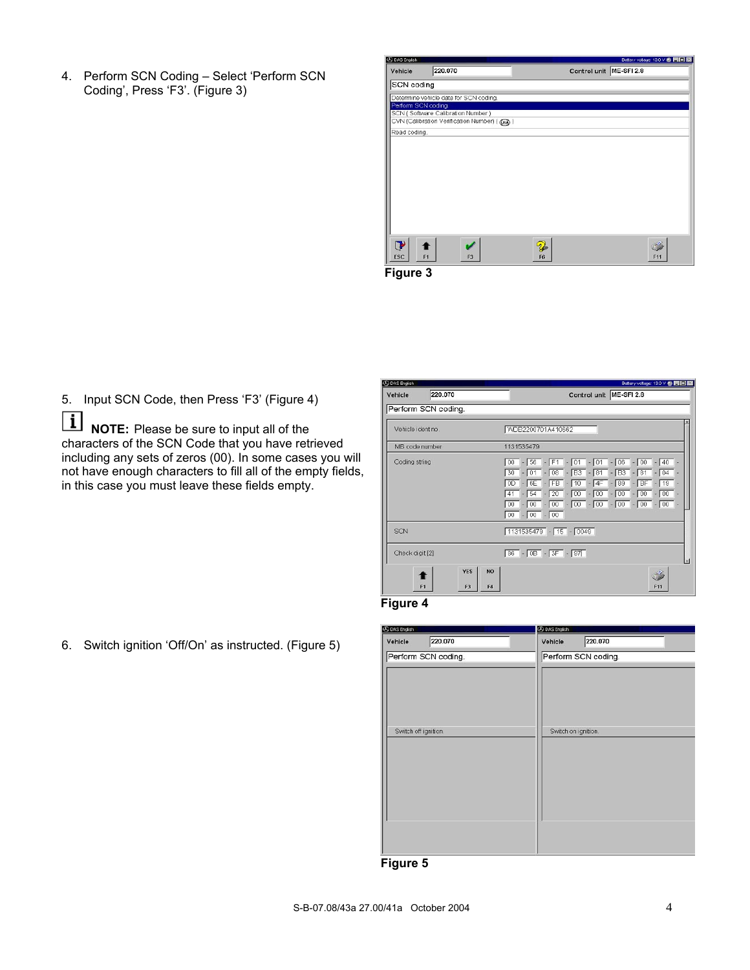4. Perform SCN Coding – Select 'Perform SCN Coding', Press 'F3'. (Figure 3)



**Figure 3**

5. Input SCN Code, then Press 'F3' (Figure 4)

 $\boxed{\mathbf{i}}$ **NOTE:** Please be sure to input all of the characters of the SCN Code that you have retrieved including any sets of zeros (00). In some cases you will not have enough characters to fill all of the empty fields, in this case you must leave these fields empty.

6. Switch ignition 'Off/On' as instructed. (Figure 5)

| <b>CO DAS English</b> |                                                      | Battery voltage: 13.0 V 卷 同回 E                                                                                                                                                                                                                                                             |
|-----------------------|------------------------------------------------------|--------------------------------------------------------------------------------------------------------------------------------------------------------------------------------------------------------------------------------------------------------------------------------------------|
| Vehicle               | 220.070                                              | Control unit ME-SFI 2.8                                                                                                                                                                                                                                                                    |
|                       | Perform SCN coding.                                  |                                                                                                                                                                                                                                                                                            |
| Vehicle ident no.     |                                                      | WDB2200701A410662                                                                                                                                                                                                                                                                          |
| MB code number        |                                                      | 1131535479                                                                                                                                                                                                                                                                                 |
| Coding string         |                                                      | $-56$ $-$ F1 $-01$ $-01$ $-06$ $-00$<br>40<br>00<br>$-01 - 08 - B3 - 81 - B3 - 81$<br>04<br>30 <sup>°</sup><br>$-6E - FB - 10 - 4F - 89 - BF -$<br>OD<br>19<br>$-54$ $-20$ $-00$ $-00$ $-00$ $-00$<br>$\sqrt{0}$<br>41<br>$-00 - 00 - 00 - 00 - 00 - 00 - 00 - 00$<br>00<br>$00 - 00 - 00$ |
| SCN                   |                                                      | $1131535479 - 15 - 0049$                                                                                                                                                                                                                                                                   |
| Check digit [2]       |                                                      | $86 - 05 - 3F - 97$<br>E                                                                                                                                                                                                                                                                   |
|                       | <b>YES</b><br>N <sub>O</sub><br>F <sub>3</sub><br>F1 | <b>F11</b><br>FА                                                                                                                                                                                                                                                                           |

#### **Figure 4**

| <b>BDAS English</b>  |                     | <b>B</b> DAS English |
|----------------------|---------------------|----------------------|
| Vehicle              | 220.070             | 220.070<br>Vehicle   |
|                      | Perform SCN coding. | Perform SCN coding.  |
|                      |                     |                      |
|                      |                     |                      |
|                      |                     |                      |
|                      |                     |                      |
| Switch off ignition. |                     | Switch on ignition.  |
|                      |                     |                      |
|                      |                     |                      |
|                      |                     |                      |
|                      |                     |                      |
|                      |                     |                      |
|                      |                     |                      |
|                      |                     |                      |
| - :<br>- - -- -      | -                   |                      |

**Figure 5**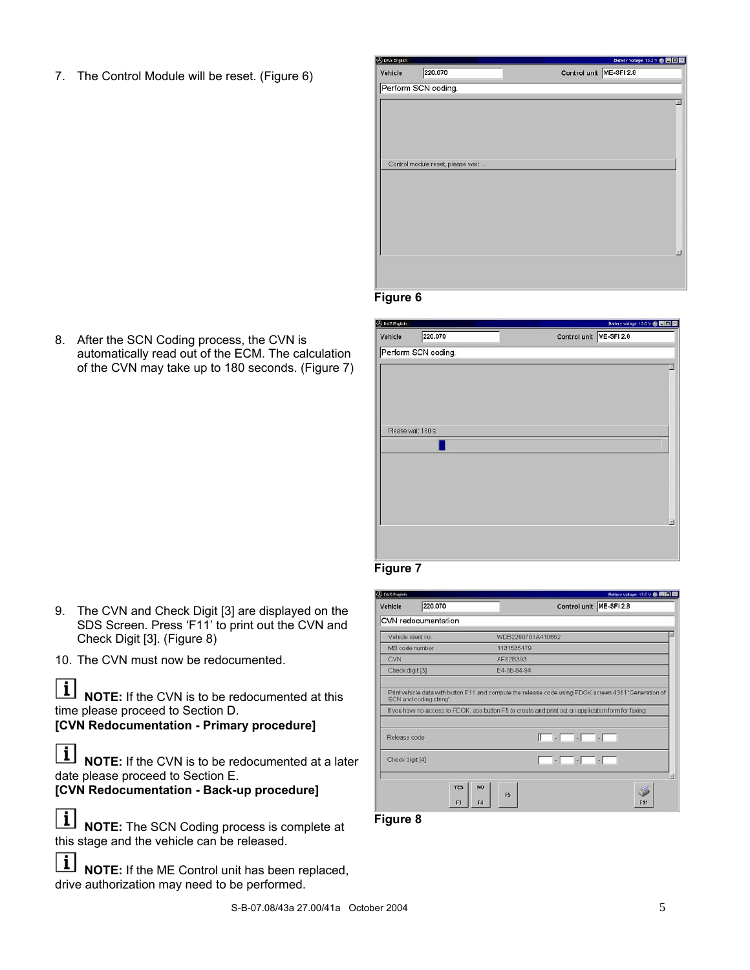7. The Control Module will be reset. (Figure 6)



#### **Figure 6**

**B** DAS English  $\blacksquare$ Vehicle 220.070 Control unit ME-SFI 2.8 Perform SCN coding. Please wait 180 s.



| Vehicle          | 220.070             | Bettery votage: 13.0 V ● 四回图<br>Control unit ME-SFI 2.8                                                                         |
|------------------|---------------------|---------------------------------------------------------------------------------------------------------------------------------|
|                  | CVN redocumentation |                                                                                                                                 |
| Vehicle ident no |                     | WDB2200701A410662                                                                                                               |
| MB code number   |                     | 1131535479                                                                                                                      |
| CVN              |                     | AF82B393                                                                                                                        |
| Check digit [3]  |                     | E4-8b-84-94                                                                                                                     |
|                  |                     | If you have no access to FDOK, use button F5 to create and print out an application form for faxing.                            |
| Release code     |                     |                                                                                                                                 |
| Check digit [4]  |                     | $\Box$<br><u>estas estas en la propia de la propia de la propia de la propia de la propia de la propia de la propia de la p</u> |

**Figure 8**

8. After the SCN Coding process, the CVN is automatically read out of the ECM. The calculation of the CVN may take up to 180 seconds. (Figure 7)

- 9. The CVN and Check Digit [3] are displayed on the SDS Screen. Press 'F11' to print out the CVN and Check Digit [3]. (Figure 8)
- 10. The CVN must now be redocumented.

 $\vert \hspace{0.5pt} \mathrm{i} \hspace{0.5pt} \vert$ **NOTE:** If the CVN is to be redocumented at this time please proceed to Section D.

**[CVN Redocumentation - Primary procedure]**

 $\overline{\mathbf{i}}$ **NOTE:** If the CVN is to be redocumented at a later date please proceed to Section E.

**[CVN Redocumentation - Back-up procedure]**

 $\boxed{\mathbf{i}}$ **NOTE:** The SCN Coding process is complete at this stage and the vehicle can be released.

 $\vert \mathbf{i} \vert$ **NOTE:** If the ME Control unit has been replaced, drive authorization may need to be performed.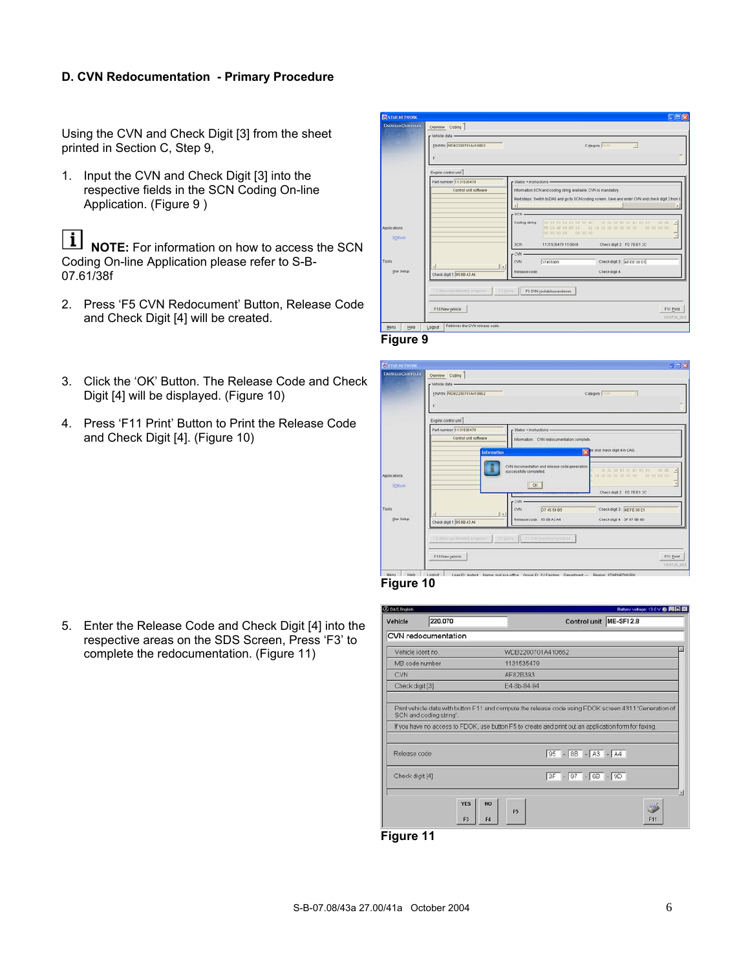## **D. CVN Redocumentation - Primary Procedure**

Using the CVN and Check Digit [3] from the sheet printed in Section C, Step 9,

1. Input the CVN and Check Digit [3] into the respective fields in the SCN Coding On-line Application. (Figure 9)

| i | **NOTE:** For information on how to access the SCN Coding On-line Application please refer to S-B-07.61/38f

- 2. Press 'F5 CVN Redocument' Button, Release Code and Check Digit [4] will be created.
- 3. Click the 'OK' Button. The Release Code and Check Digit [4] will be displayed. (Figure 10)
- 4. Press 'F11 Print' Button to Print the Release Code and Check Digit [4]. (Figure 10)

| STAR NETWORK            |                                                               |                                                                  | $\Box$ o $\mathbf{x}$                                                                                                                                                                                                                                                                                                                                       |
|-------------------------|---------------------------------------------------------------|------------------------------------------------------------------|-------------------------------------------------------------------------------------------------------------------------------------------------------------------------------------------------------------------------------------------------------------------------------------------------------------------------------------------------------------|
| <b>DAIMLERCHRYSLER</b>  | Overview Coding<br>r Vehicle data<br>FINANN MDB2200701A410562 |                                                                  | Category PRW<br>$\overline{\phantom{a}}$                                                                                                                                                                                                                                                                                                                    |
|                         | Engine control unit                                           |                                                                  |                                                                                                                                                                                                                                                                                                                                                             |
|                         | Part number 1131535479                                        | $r$ Status · instructions -                                      |                                                                                                                                                                                                                                                                                                                                                             |
| Applications<br>SDflash | Control unit software                                         | $-8CN$<br>Coding string:                                         | Information:SCN and coding string available. CVN is mandatory.<br>Next steps: Switch to DAS and go to SCN coding screen. Save and enter CVN and check digit 3 from I<br>00 56 F1 01 01 06 00 40<br>00 6E<br>30 01 08 83 81 83 81 04<br>A<br>00 00 00 00<br>FD 10 4F 09 BF 19<br>41 54 20 00 00 00 00 00<br>00 00 00 00 00 00 00<br>$\overline{\phantom{a}}$ |
|                         |                                                               | <b>SCNL</b>                                                      | Check digit 2: FD 7E E1 2C<br>1131535479 15 0049                                                                                                                                                                                                                                                                                                            |
| Tools<br>Star Setup     | Check digit 1 95 88 A3 A4                                     | - CVN<br><b>CVN</b><br>D74559B5<br>$\mathbf{r}$<br>Release code: | Check digit 3: 4E EE 08 D1<br>Check digit 4:                                                                                                                                                                                                                                                                                                                |
|                         | F2 Steuergerätedaten eingeben<br>F10 New vehicle              | F3 QUEry<br>F5 CVN rückdokumentieren                             | F11 Print<br>10.AT20_003                                                                                                                                                                                                                                                                                                                                    |
| Help<br>Menu            | Retrieves the CVN release code.<br>Logout                     |                                                                  |                                                                                                                                                                                                                                                                                                                                                             |





### **Figure 10**

5. Enter the Release Code and Check Digit [4] into the respective areas on the SDS Screen, Press 'F3' to complete the redocumentation. (Figure 11)

| Vehicle           | 220.070                 | Control unit                                                                                                                                                                                                  | ME-SFI 2.8 |
|-------------------|-------------------------|---------------------------------------------------------------------------------------------------------------------------------------------------------------------------------------------------------------|------------|
|                   | CVN redocumentation     |                                                                                                                                                                                                               |            |
| Vehicle ident no. |                         | WDB2200701A410662                                                                                                                                                                                             |            |
| MB code number    |                         | 1131535479                                                                                                                                                                                                    |            |
| <b>CVN</b>        |                         | AF82B393                                                                                                                                                                                                      |            |
| Check digit [3]   |                         | F4-8b-84-94                                                                                                                                                                                                   |            |
|                   | SCN and coding string'. | Print vehicle data with button F11 and compute the release code using FDOK screen 4311 'Generation of<br>If you have no access to FDOK, use button F5 to create and print out an application form for faxing. |            |
| Release code      |                         | $95 - 85 - A3 - A4$                                                                                                                                                                                           |            |
| Check digit [4]   |                         | $3F - 97 - 68 - 9D$                                                                                                                                                                                           |            |

**Figure 11**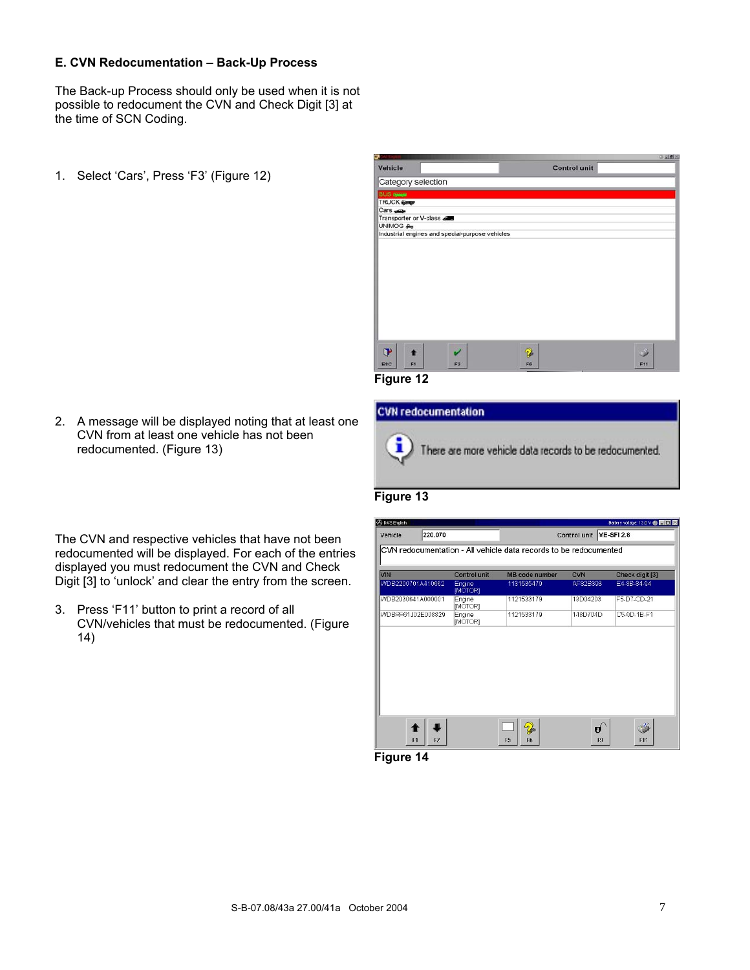#### **E. CVN Redocumentation – Back-Up Process**

The Back-up Process should only be used when it is not possible to redocument the CVN and Check Digit [3] at the time of SCN Coding.

1. Select 'Cars', Press 'F3' (Figure 12)



**Figure 12**

**CVN redocumentation** i There are more vehicle data records to be redocumented.

## **Figure 13**

| The CVN and respective vehicles that have not been         |
|------------------------------------------------------------|
| redocumented will be displayed. For each of the entries    |
| displayed you must redocument the CVN and Check            |
| Digit [3] to 'unlock' and clear the entry from the screen. |

2. A message will be displayed noting that at least one CVN from at least one vehicle has not been

redocumented. (Figure 13)

3. Press 'F11' button to print a record of all CVN/vehicles that must be redocumented. (Figure 14)

| Vehicle           | 220.070           |                          |                                                                   | Control unit ME-SFI 2.8 |                 |
|-------------------|-------------------|--------------------------|-------------------------------------------------------------------|-------------------------|-----------------|
|                   |                   |                          | CVN redocumentation - All vehicle data records to be redocumented |                         |                 |
| <b>VIN</b>        |                   | Control unit             | <b>MB</b> code number                                             | CVN                     | Check digit [3] |
|                   | WDB2200701A410662 | Engine<br>[MOTOR]        | 1131535479                                                        | AF82B393                | E4-8B-84-94     |
| WDB2030641A000001 |                   | Engine<br><b>IMOTOR1</b> | 1121533179                                                        | 18D04203                | F5-D7-CD-21     |
| WDBRF61J02E008829 |                   | Engine<br><b>MOTOR1</b>  | 1121533179                                                        | 148D704D                | C5-0D-1B-F1     |
|                   |                   |                          |                                                                   |                         |                 |
|                   |                   |                          | 2                                                                 | Ú                       |                 |

**Figure 14**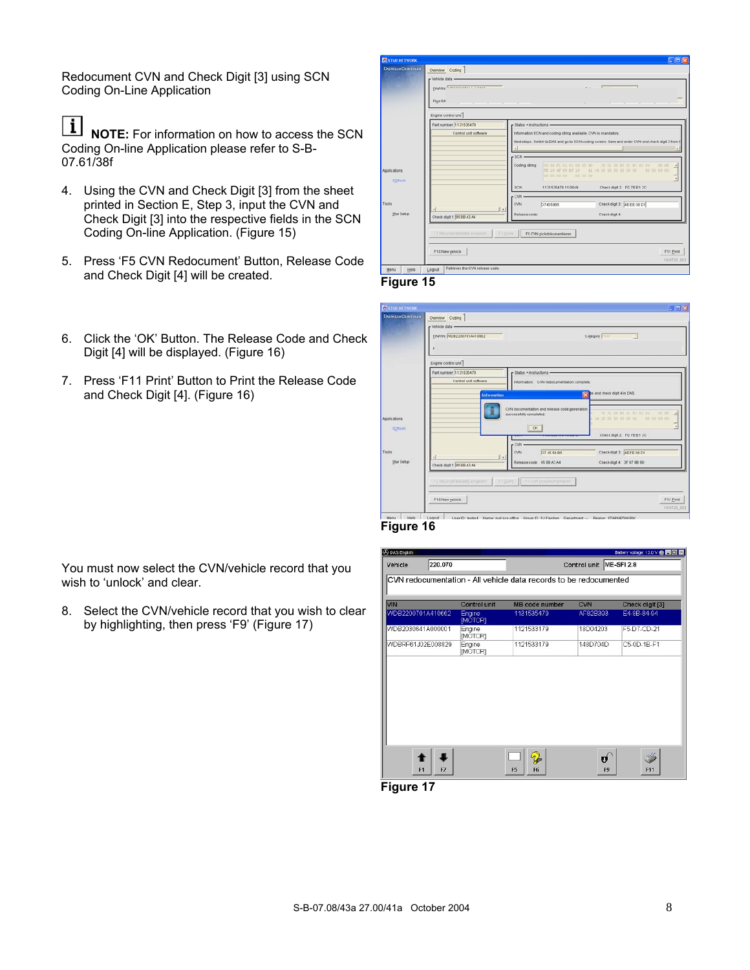Redocument CVN and Check Digit [3] using SCN Coding On-Line Application

 $\lceil i \rceil$ **NOTE:** For information on how to access the SCN Coding On-line Application please refer to S-B-07.61/38f

- 4. Using the CVN and Check Digit [3] from the sheet printed in Section E, Step 3, input the CVN and Check Digit [3] into the respective fields in the SCN Coding On-line Application. (Figure 15)
- 5. Press 'F5 CVN Redocument' Button, Release Code and Check Digit [4] will be created. **Figure 15**
- 6. Click the 'OK' Button. The Release Code and Check Digit [4] will be displayed. (Figure 16)
- 7. Press 'F11 Print' Button to Print the Release Code and Check Digit [4]. (Figure 16)

You must now select the CVN/vehicle record that you

8. Select the CVN/vehicle record that you wish to clear by highlighting, then press 'F9' (Figure 17)

wish to 'unlock' and clear.

| <b>SESTAR NETWORK</b><br><b>DAIMLERCHRYSLER</b> |                               |                                                                |                                           |                                                                                                    | $ \Box$ $\times$         |
|-------------------------------------------------|-------------------------------|----------------------------------------------------------------|-------------------------------------------|----------------------------------------------------------------------------------------------------|--------------------------|
|                                                 | Overview Coding               |                                                                |                                           |                                                                                                    |                          |
|                                                 | - Vehicle data -              |                                                                |                                           |                                                                                                    |                          |
|                                                 | FINAN MODOSODIALINES          |                                                                |                                           | <b>CHANNA CLAU</b><br>۰                                                                            |                          |
|                                                 | Plys SA                       |                                                                |                                           |                                                                                                    |                          |
|                                                 |                               |                                                                |                                           |                                                                                                    |                          |
|                                                 | Engine control unit           |                                                                |                                           |                                                                                                    |                          |
|                                                 | Partnumber 1131535479         | - Status . instructions -                                      |                                           |                                                                                                    |                          |
|                                                 | Control unit software         | Information:SCN and coding string available. CVN is mandatory. |                                           |                                                                                                    |                          |
|                                                 |                               |                                                                |                                           | Next steps: Switch to DAS and go to SCN coding screen. Save and enter CVN and check digit 3 from I |                          |
|                                                 |                               |                                                                |                                           |                                                                                                    | $\mathbf{r}$             |
|                                                 |                               | $-SCN$                                                         |                                           |                                                                                                    |                          |
|                                                 |                               | Coding string:                                                 | 00 56 F1 01 01 06 00 40                   | 30 01 08 83 81 83 81 04                                                                            | 0562<br>$\overline{a}$   |
| Applications                                    |                               |                                                                | FD 10 4F 69 BF 19<br>00 00 00 00 00 00 00 | 41 54 20 00 00 00 00 00                                                                            | 00 00 00 00              |
| SDflash                                         |                               |                                                                |                                           |                                                                                                    | $\overline{\phantom{a}}$ |
|                                                 |                               | <b>SCNL</b>                                                    | 1131535479 15 0049                        | Check digit 2: FD 7E E1 2C                                                                         |                          |
|                                                 |                               | CVN                                                            |                                           |                                                                                                    |                          |
| <b>Tools</b>                                    |                               | <b>CVN</b><br>D74559B5                                         |                                           | Check digit 3: 4E EE 08 D1                                                                         |                          |
| Star Setup                                      | Check digit 1 95 89 A3 A4     | Release code:                                                  |                                           | Check digit 4:                                                                                     |                          |
|                                                 |                               |                                                                |                                           |                                                                                                    |                          |
|                                                 | F2 Steuergerätedaten eingeben | F3 QUEIV<br>F5 CVN rückdokumentieren                           |                                           |                                                                                                    |                          |
|                                                 |                               |                                                                |                                           |                                                                                                    |                          |
|                                                 |                               |                                                                |                                           |                                                                                                    |                          |
|                                                 | F10 New yehicle               |                                                                |                                           |                                                                                                    | F11 Print                |
|                                                 |                               |                                                                |                                           |                                                                                                    | 10AT20_003               |









**Figure 17**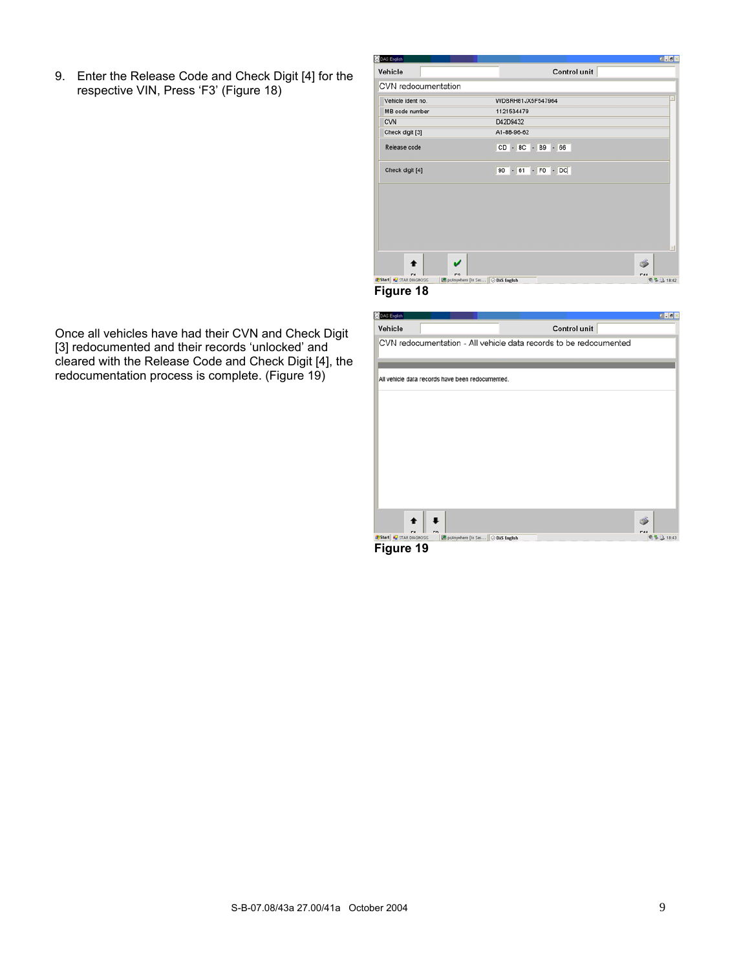9. Enter the Release Code and Check Digit [4] for the respective VIN, Press 'F3' (Figure 18)

| Vehicle             | Control unit        |  |
|---------------------|---------------------|--|
| CVN redocumentation |                     |  |
| Vehicle ident no.   | WDBRH81JX5F547964   |  |
| MB code number      | 1121534479          |  |
| <b>CVN</b>          | D42D9432            |  |
| Check digit [3]     | A1-88-96-62         |  |
| Release code        | $CD - BC - B9 - 66$ |  |
| Check digit [4]     | $90 - 61 - F0 - DC$ |  |
|                     |                     |  |
|                     |                     |  |
|                     |                     |  |
|                     |                     |  |
|                     |                     |  |
|                     |                     |  |

**Figure 18**

| <b>CAS</b> English                |                                                  |                                                                   | $a - a$    |
|-----------------------------------|--------------------------------------------------|-------------------------------------------------------------------|------------|
| Vehicle                           |                                                  | Control unit                                                      |            |
|                                   |                                                  | CVN redocumentation - All vehicle data records to be redocumented |            |
|                                   |                                                  |                                                                   |            |
|                                   |                                                  |                                                                   |            |
|                                   | All vehicle data records have been redocumented. |                                                                   |            |
|                                   |                                                  |                                                                   |            |
|                                   |                                                  |                                                                   |            |
|                                   |                                                  |                                                                   |            |
|                                   |                                                  |                                                                   |            |
|                                   |                                                  |                                                                   |            |
|                                   |                                                  |                                                                   |            |
|                                   |                                                  |                                                                   |            |
|                                   |                                                  |                                                                   |            |
|                                   |                                                  |                                                                   |            |
|                                   |                                                  |                                                                   |            |
| <b>J. Start W.</b> STAR DIAGNOSIS | pcAnywhere [In Ses   2 DAS English               |                                                                   | 司格 3 18:43 |

**Figure 19**

Once all vehicles have had their CVN and Check Digit [3] redocumented and their records 'unlocked' and cleared with the Release Code and Check Digit [4], the redocumentation process is complete. (Figure 19)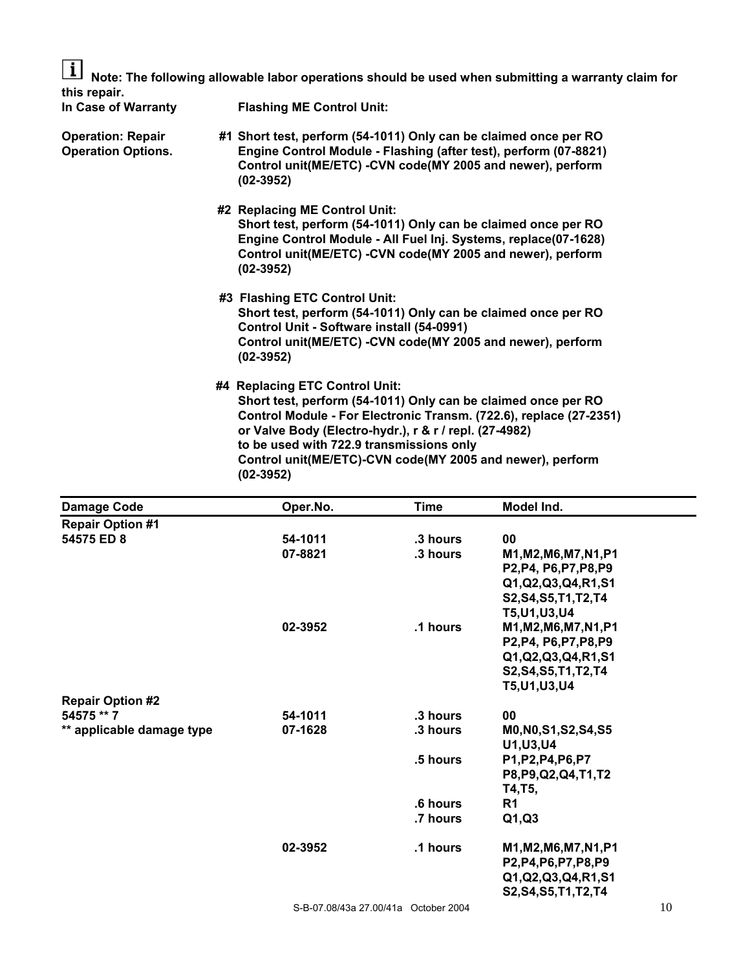$|i|$ **Note: The following allowable labor operations should be used when submitting a warranty claim for this repair.** 

**In Case of Warranty Flashing ME Control Unit:** 

- **Operation: Repair #1 Short test, perform (54-1011) Only can be claimed once per RO Operation Options. Engine Control Module - Flashing (after test), perform (07-8821) Control unit(ME/ETC) -CVN code(MY 2005 and newer), perform (02-3952)** 
	- **#2 Replacing ME Control Unit: Short test, perform (54-1011) Only can be claimed once per RO Engine Control Module - All Fuel Inj. Systems, replace(07-1628) Control unit(ME/ETC) -CVN code(MY 2005 and newer), perform (02-3952)**
	- **#3 Flashing ETC Control Unit: Short test, perform (54-1011) Only can be claimed once per RO Control Unit - Software install (54-0991) Control unit(ME/ETC) -CVN code(MY 2005 and newer), perform (02-3952)**
	- **#4 Replacing ETC Control Unit: Short test, perform (54-1011) Only can be claimed once per RO Control Module - For Electronic Transm. (722.6), replace (27-2351) or Valve Body (Electro-hydr.), r & r / repl. (27-4982) to be used with 722.9 transmissions only Control unit(ME/ETC)-CVN code(MY 2005 and newer), perform (02-3952)**

| <b>Damage Code</b>        | Oper.No. | <b>Time</b>                          | Model Ind.             |    |
|---------------------------|----------|--------------------------------------|------------------------|----|
| <b>Repair Option #1</b>   |          |                                      |                        |    |
| 54575 ED 8                | 54-1011  | .3 hours                             | 00                     |    |
|                           | 07-8821  | .3 hours                             | M1, M2, M6, M7, N1, P1 |    |
|                           |          |                                      | P2, P4, P6, P7, P8, P9 |    |
|                           |          |                                      | Q1, Q2, Q3, Q4, R1, S1 |    |
|                           |          |                                      | S2, S4, S5, T1, T2, T4 |    |
|                           |          |                                      | T5, U1, U3, U4         |    |
|                           | 02-3952  | .1 hours                             | M1, M2, M6, M7, N1, P1 |    |
|                           |          |                                      | P2, P4, P6, P7, P8, P9 |    |
|                           |          |                                      | Q1, Q2, Q3, Q4, R1, S1 |    |
|                           |          |                                      | S2, S4, S5, T1, T2, T4 |    |
|                           |          |                                      | T5, U1, U3, U4         |    |
| <b>Repair Option #2</b>   |          |                                      |                        |    |
| 54575 ** 7                | 54-1011  | .3 hours                             | 00                     |    |
| ** applicable damage type | 07-1628  | .3 hours                             | M0, N0, S1, S2, S4, S5 |    |
|                           |          |                                      | U1, U3, U4             |    |
|                           |          | .5 hours                             | P1, P2, P4, P6, P7     |    |
|                           |          |                                      | P8, P9, Q2, Q4, T1, T2 |    |
|                           |          |                                      | T4,T5,                 |    |
|                           |          | .6 hours                             | R <sub>1</sub>         |    |
|                           |          | .7 hours                             | Q1,Q3                  |    |
|                           | 02-3952  | .1 hours                             | M1, M2, M6, M7, N1, P1 |    |
|                           |          |                                      | P2, P4, P6, P7, P8, P9 |    |
|                           |          |                                      | Q1, Q2, Q3, Q4, R1, S1 |    |
|                           |          |                                      | S2, S4, S5, T1, T2, T4 |    |
|                           |          | S-B-07.08/43a 27.00/41a October 2004 |                        | 10 |